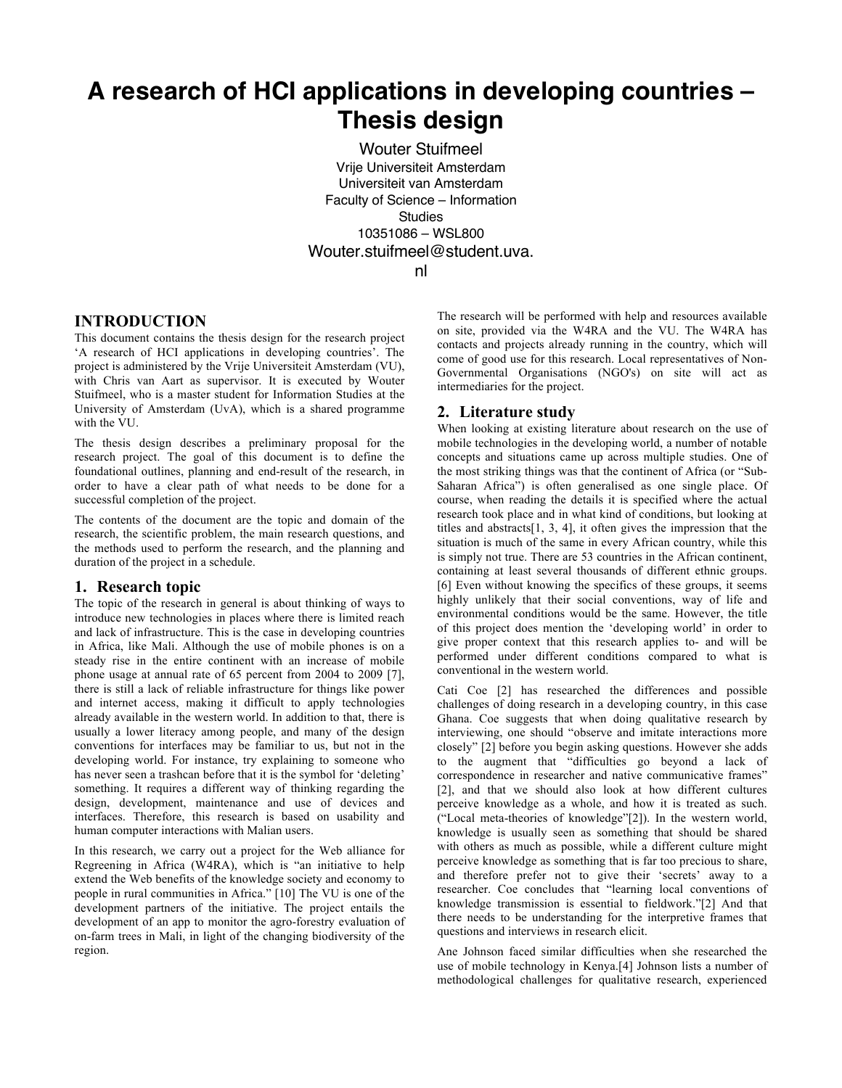# **A research of HCI applications in developing countries – Thesis design**

Wouter Stuifmeel Vrije Universiteit Amsterdam Universiteit van Amsterdam Faculty of Science – Information **Studies** 10351086 – WSL800 Wouter.stuifmeel@student.uva. nl

## **INTRODUCTION**

This document contains the thesis design for the research project 'A research of HCI applications in developing countries'. The project is administered by the Vrije Universiteit Amsterdam (VU), with Chris van Aart as supervisor. It is executed by Wouter Stuifmeel, who is a master student for Information Studies at the University of Amsterdam (UvA), which is a shared programme with the VU.

The thesis design describes a preliminary proposal for the research project. The goal of this document is to define the foundational outlines, planning and end-result of the research, in order to have a clear path of what needs to be done for a successful completion of the project.

The contents of the document are the topic and domain of the research, the scientific problem, the main research questions, and the methods used to perform the research, and the planning and duration of the project in a schedule.

## **1. Research topic**

The topic of the research in general is about thinking of ways to introduce new technologies in places where there is limited reach and lack of infrastructure. This is the case in developing countries in Africa, like Mali. Although the use of mobile phones is on a steady rise in the entire continent with an increase of mobile phone usage at annual rate of 65 percent from 2004 to 2009 [7], there is still a lack of reliable infrastructure for things like power and internet access, making it difficult to apply technologies already available in the western world. In addition to that, there is usually a lower literacy among people, and many of the design conventions for interfaces may be familiar to us, but not in the developing world. For instance, try explaining to someone who has never seen a trashcan before that it is the symbol for 'deleting' something. It requires a different way of thinking regarding the design, development, maintenance and use of devices and interfaces. Therefore, this research is based on usability and human computer interactions with Malian users.

In this research, we carry out a project for the Web alliance for Regreening in Africa (W4RA), which is "an initiative to help extend the Web benefits of the knowledge society and economy to people in rural communities in Africa." [10] The VU is one of the development partners of the initiative. The project entails the development of an app to monitor the agro-forestry evaluation of on-farm trees in Mali, in light of the changing biodiversity of the region.

The research will be performed with help and resources available on site, provided via the W4RA and the VU. The W4RA has contacts and projects already running in the country, which will come of good use for this research. Local representatives of Non-Governmental Organisations (NGO's) on site will act as intermediaries for the project.

## **2. Literature study**

When looking at existing literature about research on the use of mobile technologies in the developing world, a number of notable concepts and situations came up across multiple studies. One of the most striking things was that the continent of Africa (or "Sub-Saharan Africa") is often generalised as one single place. Of course, when reading the details it is specified where the actual research took place and in what kind of conditions, but looking at titles and abstracts[1, 3, 4], it often gives the impression that the situation is much of the same in every African country, while this is simply not true. There are 53 countries in the African continent, containing at least several thousands of different ethnic groups. [6] Even without knowing the specifics of these groups, it seems highly unlikely that their social conventions, way of life and environmental conditions would be the same. However, the title of this project does mention the 'developing world' in order to give proper context that this research applies to- and will be performed under different conditions compared to what is conventional in the western world.

Cati Coe [2] has researched the differences and possible challenges of doing research in a developing country, in this case Ghana. Coe suggests that when doing qualitative research by interviewing, one should "observe and imitate interactions more closely" [2] before you begin asking questions. However she adds to the augment that "difficulties go beyond a lack of correspondence in researcher and native communicative frames" [2], and that we should also look at how different cultures perceive knowledge as a whole, and how it is treated as such. ("Local meta-theories of knowledge"[2]). In the western world, knowledge is usually seen as something that should be shared with others as much as possible, while a different culture might perceive knowledge as something that is far too precious to share, and therefore prefer not to give their 'secrets' away to a researcher. Coe concludes that "learning local conventions of knowledge transmission is essential to fieldwork."[2] And that there needs to be understanding for the interpretive frames that questions and interviews in research elicit.

Ane Johnson faced similar difficulties when she researched the use of mobile technology in Kenya.[4] Johnson lists a number of methodological challenges for qualitative research, experienced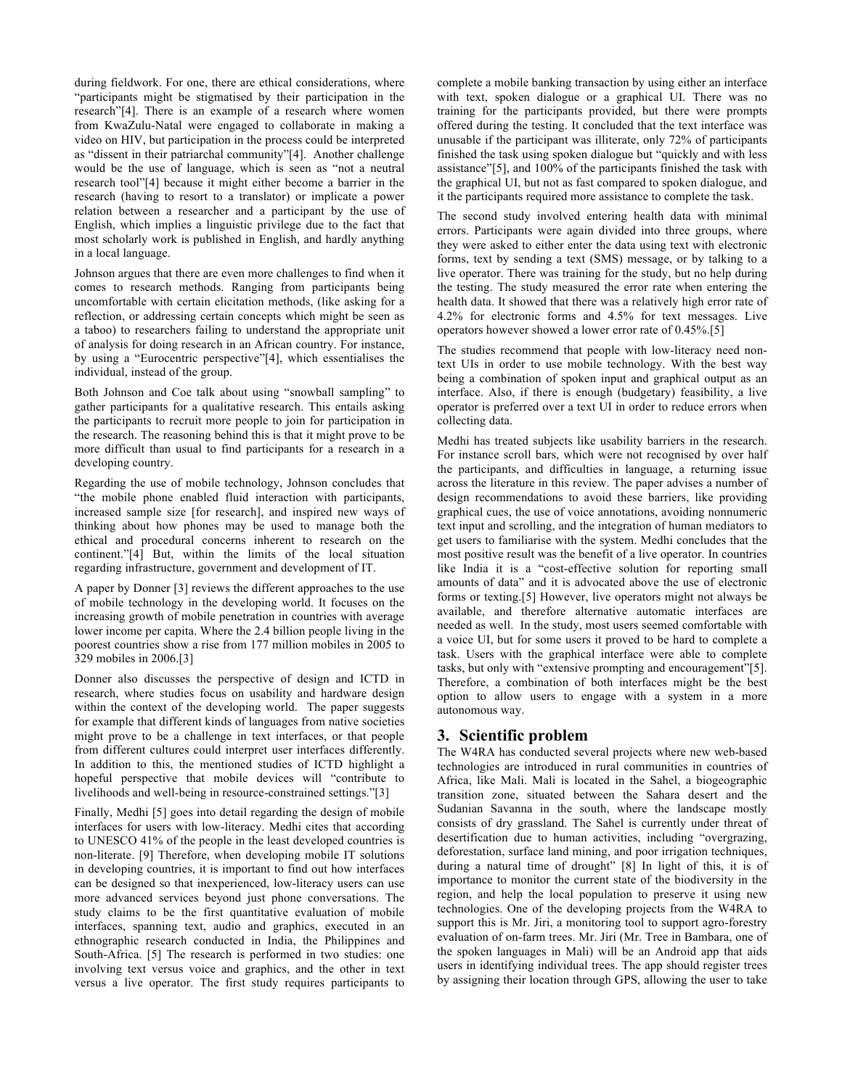during fieldwork. For one, there are ethical considerations, where "participants might be stigmatised by their participation in the research"[4]. There is an example of a research where women from KwaZulu-Natal were engaged to collaborate in making a video on HIV, but participation in the process could be interpreted as "dissent in their patriarchal community"[4]. Another challenge would be the use of language, which is seen as "not a neutral research tool"[4] because it might either become a barrier in the research (having to resort to a translator) or implicate a power relation between a researcher and a participant by the use of English, which implies a linguistic privilege due to the fact that most scholarly work is published in English, and hardly anything in a local language.

Johnson argues that there are even more challenges to find when it comes to research methods. Ranging from participants being uncomfortable with certain elicitation methods, (like asking for a reflection, or addressing certain concepts which might be seen as a taboo) to researchers failing to understand the appropriate unit of analysis for doing research in an African country. For instance, by using a "Eurocentric perspective"[4], which essentialises the individual, instead of the group.

Both Johnson and Coe talk about using "snowball sampling" to gather participants for a qualitative research. This entails asking the participants to recruit more people to join for participation in the research. The reasoning behind this is that it might prove to be more difficult than usual to find participants for a research in a developing country.

Regarding the use of mobile technology, Johnson concludes that "the mobile phone enabled fluid interaction with participants, increased sample size [for research], and inspired new ways of thinking about how phones may be used to manage both the ethical and procedural concerns inherent to research on the continent."[4] But, within the limits of the local situation regarding infrastructure, government and development of IT.

A paper by Donner [3] reviews the different approaches to the use of mobile technology in the developing world. It focuses on the increasing growth of mobile penetration in countries with average lower income per capita. Where the 2.4 billion people living in the poorest countries show a rise from 177 million mobiles in 2005 to 329 mobiles in 2006.[3]

Donner also discusses the perspective of design and ICTD in research, where studies focus on usability and hardware design within the context of the developing world. The paper suggests for example that different kinds of languages from native societies might prove to be a challenge in text interfaces, or that people from different cultures could interpret user interfaces differently. In addition to this, the mentioned studies of ICTD highlight a hopeful perspective that mobile devices will "contribute to livelihoods and well-being in resource-constrained settings."[3]

Finally, Medhi [5] goes into detail regarding the design of mobile interfaces for users with low-literacy. Medhi cites that according to UNESCO 41% of the people in the least developed countries is non-literate. [9] Therefore, when developing mobile IT solutions in developing countries, it is important to find out how interfaces can be designed so that inexperienced, low-literacy users can use more advanced services beyond just phone conversations. The study claims to be the first quantitative evaluation of mobile interfaces, spanning text, audio and graphics, executed in an ethnographic research conducted in India, the Philippines and South-Africa. [5] The research is performed in two studies: one involving text versus voice and graphics, and the other in text versus a live operator. The first study requires participants to

complete a mobile banking transaction by using either an interface with text, spoken dialogue or a graphical UI. There was no training for the participants provided, but there were prompts offered during the testing. It concluded that the text interface was unusable if the participant was illiterate, only 72% of participants finished the task using spoken dialogue but "quickly and with less assistance"[5], and 100% of the participants finished the task with the graphical UI, but not as fast compared to spoken dialogue, and it the participants required more assistance to complete the task.

The second study involved entering health data with minimal errors. Participants were again divided into three groups, where they were asked to either enter the data using text with electronic forms, text by sending a text (SMS) message, or by talking to a live operator. There was training for the study, but no help during the testing. The study measured the error rate when entering the health data. It showed that there was a relatively high error rate of 4.2% for electronic forms and 4.5% for text messages. Live operators however showed a lower error rate of 0.45%.[5]

The studies recommend that people with low-literacy need nontext UIs in order to use mobile technology. With the best way being a combination of spoken input and graphical output as an interface. Also, if there is enough (budgetary) feasibility, a live operator is preferred over a text UI in order to reduce errors when collecting data.

Medhi has treated subjects like usability barriers in the research. For instance scroll bars, which were not recognised by over half the participants, and difficulties in language, a returning issue across the literature in this review. The paper advises a number of design recommendations to avoid these barriers, like providing graphical cues, the use of voice annotations, avoiding nonnumeric text input and scrolling, and the integration of human mediators to get users to familiarise with the system. Medhi concludes that the most positive result was the benefit of a live operator. In countries like India it is a "cost-effective solution for reporting small amounts of data" and it is advocated above the use of electronic forms or texting.[5] However, live operators might not always be available, and therefore alternative automatic interfaces are needed as well. In the study, most users seemed comfortable with a voice UI, but for some users it proved to be hard to complete a task. Users with the graphical interface were able to complete tasks, but only with "extensive prompting and encouragement"[5]. Therefore, a combination of both interfaces might be the best option to allow users to engage with a system in a more autonomous way.

# **3. Scientific problem**

The W4RA has conducted several projects where new web-based technologies are introduced in rural communities in countries of Africa, like Mali. Mali is located in the Sahel, a biogeographic transition zone, situated between the Sahara desert and the Sudanian Savanna in the south, where the landscape mostly consists of dry grassland. The Sahel is currently under threat of desertification due to human activities, including "overgrazing, deforestation, surface land mining, and poor irrigation techniques, during a natural time of drought" [8] In light of this, it is of importance to monitor the current state of the biodiversity in the region, and help the local population to preserve it using new technologies. One of the developing projects from the W4RA to support this is Mr. Jiri, a monitoring tool to support agro-forestry evaluation of on-farm trees. Mr. Jiri (Mr. Tree in Bambara, one of the spoken languages in Mali) will be an Android app that aids users in identifying individual trees. The app should register trees by assigning their location through GPS, allowing the user to take